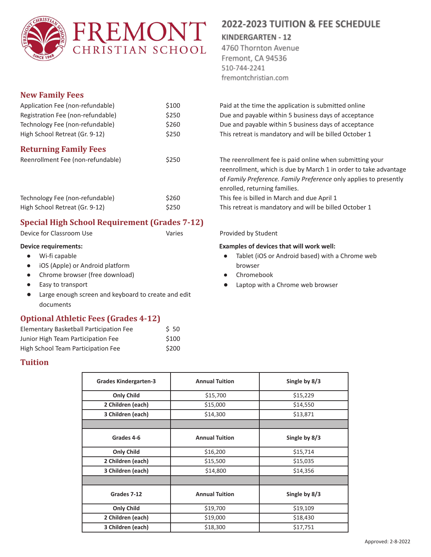

### **New Family Fees**

| Application Fee (non-refundable)  | \$100 |  |  |
|-----------------------------------|-------|--|--|
| Registration Fee (non-refundable) | \$250 |  |  |
| Technology Fee (non-refundable)   | \$260 |  |  |
| High School Retreat (Gr. 9-12)    | \$250 |  |  |
| <b>Returning Family Fees</b>      |       |  |  |
| Reenrollment Fee (non-refundable) | \$250 |  |  |

| Technology Fee (non-refundable) | \$260 |
|---------------------------------|-------|
| High School Retreat (Gr. 9-12)  | \$250 |

## **Special High School Requirement (Grades 7-12)**

Device for Classroom Use The Varies Classroom Use Varies Provided by Student

### **Device requirements:**

- Wi-fi capable
- iOS (Apple) or Android platform
- Chrome browser (free download)
- Easy to transport
- Large enough screen and keyboard to create and edit documents

### **Optional Athletic Fees (Grades 4-12)**

| Elementary Basketball Participation Fee | 550   |
|-----------------------------------------|-------|
| Junior High Team Participation Fee      | \$100 |
| High School Team Participation Fee      | \$200 |

### **Tuition**

2022-2023 TUITION & FEE SCHEDULE

# **KINDERGARTEN - 12**

4760 Thornton Avenue Fremont, CA 94536 510-744-2241 fremontchristian.com

Paid at the time the application is submitted online Due and payable within 5 business days of acceptance Due and payable within 5 business days of acceptance This retreat is mandatory and will be billed October 1

The reenrollment fee is paid online when submitting your reenrollment, which is due by March 1 in order to take advantage of *Family Preference. Family Preference* only applies to presently enrolled, returning families.

This fee is billed in March and due April 1

This retreat is mandatory and will be billed October 1

### **Examples of devices that will work well:**

- Tablet (iOS or Android based) with a Chrome web browser
- Chromebook
- Laptop with a Chrome web browser

| <b>Grades Kindergarten-3</b> | <b>Annual Tuition</b> | Single by 8/3 |
|------------------------------|-----------------------|---------------|
| <b>Only Child</b>            | \$15,700              | \$15,229      |
| 2 Children (each)            | \$15,000              | \$14,550      |
| 3 Children (each)            | \$14,300              | \$13,871      |
|                              |                       |               |
| Grades 4-6                   | <b>Annual Tuition</b> | Single by 8/3 |
| <b>Only Child</b>            | \$16,200              | \$15,714      |
| 2 Children (each)            | \$15,500              | \$15,035      |
| 3 Children (each)            | \$14,800              | \$14,356      |
|                              |                       |               |
| Grades 7-12                  | <b>Annual Tuition</b> | Single by 8/3 |
| <b>Only Child</b>            | \$19,700              | \$19,109      |
| 2 Children (each)            | \$19,000              | \$18,430      |
| 3 Children (each)            | \$18,300              | \$17,751      |